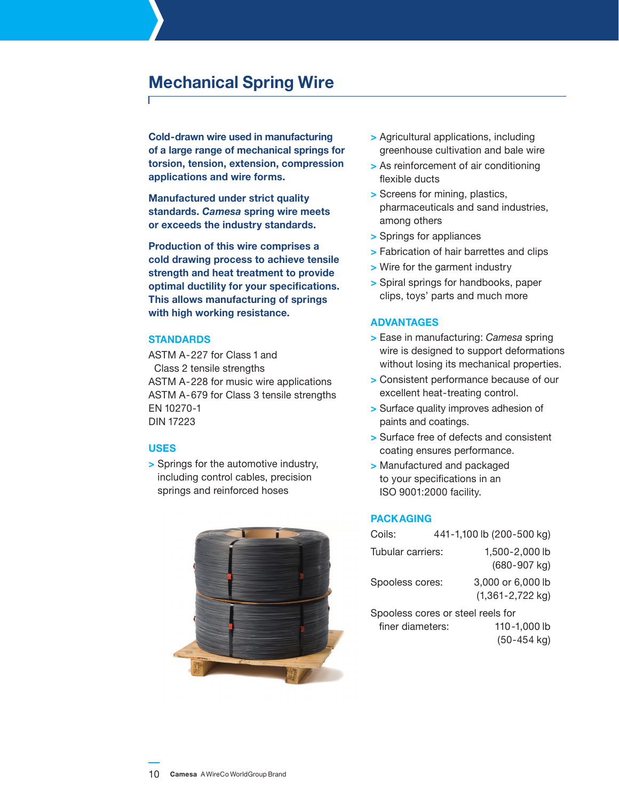# **Mechanical Spring Wire**

**Cold-drawn wire used in manufacturing of a large range of mechanical springs for torsion, tension, extension, compression applications and wire forms.**

**Manufactured under strict quality standards.** *Camesa* **spring wire meets or exceeds the industry standards.**

**Production of this wire comprises a cold drawing process to achieve tensile strength and heat treatment to provide optimal ductility for your specifications. This allows manufacturing of springs with high working resistance.** 

## **Standards**

ASTM A-227 for Class 1 and Class 2 tensile strengths ASTM A-228 for music wire applications ASTM A-679 for Class 3 tensile strengths EN 10270-1 DIN 17223

#### **Uses**

**>** Springs for the automotive industry, including control cables, precision springs and reinforced hoses



- **>** Agricultural applications, including greenhouse cultivation and bale wire
- **>** As reinforcement of air conditioning flexible ducts
- **>** Screens for mining, plastics, pharmaceuticals and sand industries, among others
- **>** Springs for appliances
- **>** Fabrication of hair barrettes and clips
- **>** Wire for the garment industry
- **>** Spiral springs for handbooks, paper clips, toys' parts and much more

#### **Advantages**

- **>** Ease in manufacturing: *Camesa* spring wire is designed to support deformations without losing its mechanical properties.
- **>** Consistent performance because of our excellent heat-treating control.
- **>** Surface quality improves adhesion of paints and coatings.
- **>** Surface free of defects and consistent coating ensures performance.
- **>** Manufactured and packaged to your specifications in an ISO 9001:2000 facility.

## **Packaging**

| Coils:                                                | 441-1,100 lb (200-500 kg) |                                           |  |
|-------------------------------------------------------|---------------------------|-------------------------------------------|--|
| Tubular carriers:                                     |                           | 1,500-2,000 lb<br>(680-907 kg)            |  |
| Spooless cores:                                       |                           | 3,000 or 6,000 lb<br>$(1,361 - 2,722$ kg) |  |
| Spooless cores or steel reels for<br>finer diameters: |                           | 110-1,000 lb<br>$(50-454$ kg)             |  |